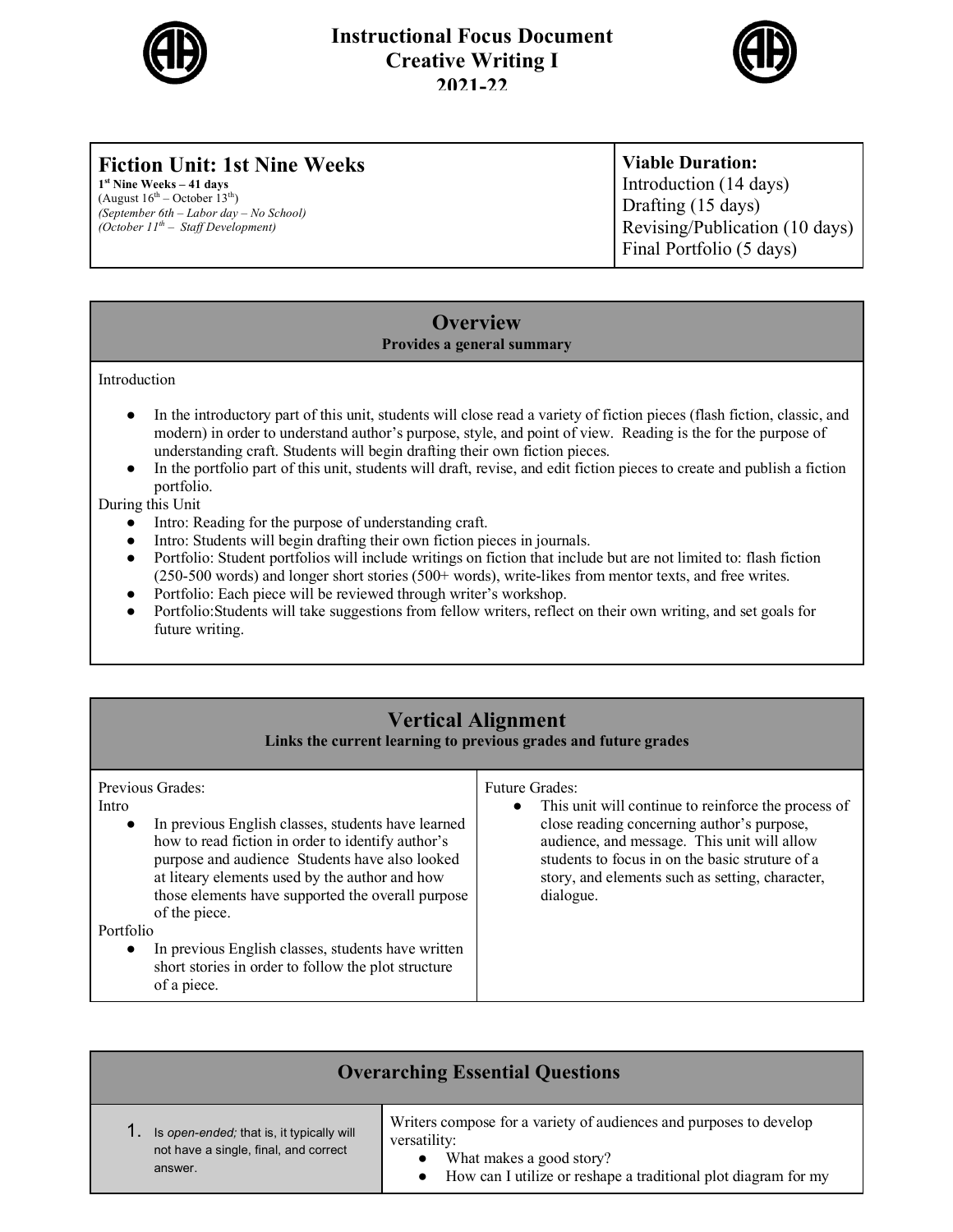

#### **Instructional Focus Document Creative Writing I 2021-22**



# **Fiction Unit: 1st Nine Weeks**

**1st Nine Weeks – 41 days**  (August  $16^{th}$  – October  $13^{th}$ ) *(September 6th* – *Labor day* – *No School) (October 11th* – *Staff Development)*

**Viable Duration:** Introduction (14 days) Drafting (15 days) Revising/Publication (10 days) Final Portfolio (5 days)

#### **Overview Provides a general summary**

Introduction

- In the introductory part of this unit, students will close read a variety of fiction pieces (flash fiction, classic, and modern) in order to understand author's purpose, style, and point of view. Reading is the for the purpose of understanding craft. Students will begin drafting their own fiction pieces.
- In the portfolio part of this unit, students will draft, revise, and edit fiction pieces to create and publish a fiction portfolio.

During this Unit

- Intro: Reading for the purpose of understanding craft.
- Intro: Students will begin drafting their own fiction pieces in journals.
- Portfolio: Student portfolios will include writings on fiction that include but are not limited to: flash fiction (250-500 words) and longer short stories (500+ words), write-likes from mentor texts, and free writes.
- Portfolio: Each piece will be reviewed through writer's workshop.
- Portfolio:Students will take suggestions from fellow writers, reflect on their own writing, and set goals for future writing.

### **Vertical Alignment**

**Links the current learning to previous grades and future grades**

| Previous Grades:<br>Intro<br>In previous English classes, students have learned<br>$\bullet$<br>how to read fiction in order to identify author's<br>purpose and audience Students have also looked<br>at liteary elements used by the author and how<br>those elements have supported the overall purpose<br>of the piece. | <b>Future Grades:</b><br>This unit will continue to reinforce the process of<br>$\bullet$<br>close reading concerning author's purpose,<br>audience, and message. This unit will allow<br>students to focus in on the basic struture of a<br>story, and elements such as setting, character,<br>dialogue. |
|-----------------------------------------------------------------------------------------------------------------------------------------------------------------------------------------------------------------------------------------------------------------------------------------------------------------------------|-----------------------------------------------------------------------------------------------------------------------------------------------------------------------------------------------------------------------------------------------------------------------------------------------------------|
| Portfolio                                                                                                                                                                                                                                                                                                                   |                                                                                                                                                                                                                                                                                                           |
| In previous English classes, students have written<br>$\bullet$<br>short stories in order to follow the plot structure<br>of a piece.                                                                                                                                                                                       |                                                                                                                                                                                                                                                                                                           |

| <b>Overarching Essential Questions</b>                                                        |                                                                                                                                                                                  |
|-----------------------------------------------------------------------------------------------|----------------------------------------------------------------------------------------------------------------------------------------------------------------------------------|
| Is open-ended; that is, it typically will<br>not have a single, final, and correct<br>answer. | Writers compose for a variety of audiences and purposes to develop<br>versatility:<br>What makes a good story?<br>How can I utilize or reshape a traditional plot diagram for my |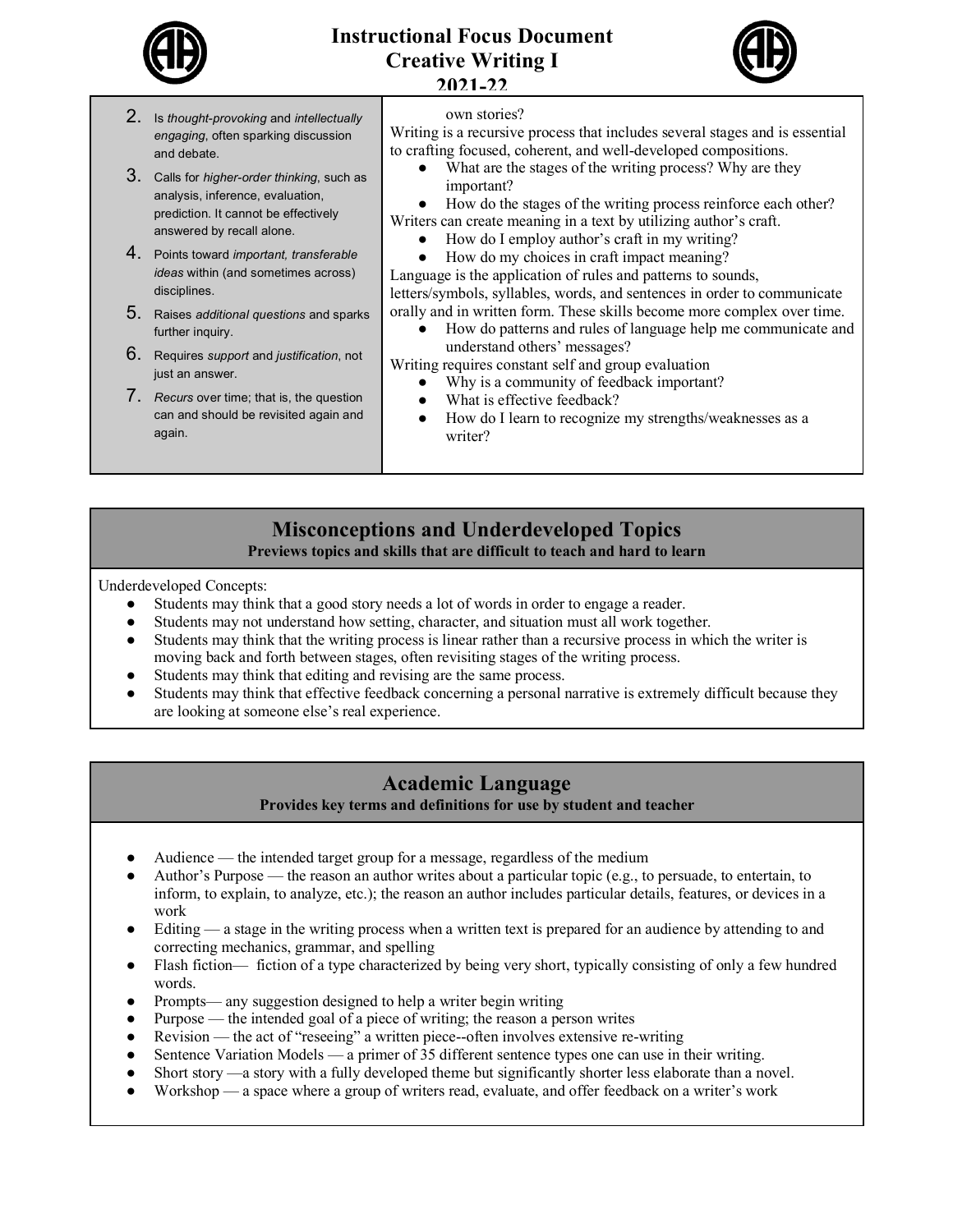

### **Instructional Focus Document Creative Writing I 2021-22**



| 2. Is thought-provoking and intellectually |
|--------------------------------------------|
| engaging, often sparking discussion        |
| and debate.                                |

- 3. Calls for *higher-order thinking*, such as analysis, inference, evaluation, prediction. It cannot be effectively answered by recall alone.
- 4. Points toward *important, transferable ideas* within (and sometimes across) disciplines.
- 5. Raises *additional questions* and sparks further inquiry.
- 6. Requires *support* and *justification*, not just an answer.
- 7. *Recurs* over time; that is, the question can and should be revisited again and again.

own stories?

Writing is a recursive process that includes several stages and is essential to crafting focused, coherent, and well-developed compositions.

- What are the stages of the writing process? Why are they important?
- How do the stages of the writing process reinforce each other?
- Writers can create meaning in a text by utilizing author's craft.
	- How do I employ author's craft in my writing?
	- How do my choices in craft impact meaning?

Language is the application of rules and patterns to sounds, letters/symbols, syllables, words, and sentences in order to communicate orally and in written form. These skills become more complex over time.

● How do patterns and rules of language help me communicate and understand others' messages?

Writing requires constant self and group evaluation

- Why is a community of feedback important?
- What is effective feedback?
- How do I learn to recognize my strengths/weaknesses as a writer?

#### **Misconceptions and Underdeveloped Topics Previews topics and skills that are difficult to teach and hard to learn**

Underdeveloped Concepts:

- Students may think that a good story needs a lot of words in order to engage a reader.
- Students may not understand how setting, character, and situation must all work together.
- Students may think that the writing process is linear rather than a recursive process in which the writer is moving back and forth between stages, often revisiting stages of the writing process.
- Students may think that editing and revising are the same process.
- Students may think that effective feedback concerning a personal narrative is extremely difficult because they are looking at someone else's real experience.

### **Academic Language**

**Provides key terms and definitions for use by student and teacher**

- Audience the intended target group for a message, regardless of the medium
- Author's Purpose the reason an author writes about a particular topic (e.g., to persuade, to entertain, to inform, to explain, to analyze, etc.); the reason an author includes particular details, features, or devices in a work
- Editing a stage in the writing process when a written text is prepared for an audience by attending to and correcting mechanics, grammar, and spelling
- Flash fiction— fiction of a type characterized by being very short, typically consisting of only a few hundred words.
- Prompts— any suggestion designed to help a writer begin writing
- Purpose the intended goal of a piece of writing; the reason a person writes
- Revision the act of "reseeing" a written piece--often involves extensive re-writing
- Sentence Variation Models a primer of 35 different sentence types one can use in their writing.
- Short story —a story with a fully developed theme but significantly shorter less elaborate than a novel.
- Workshop a space where a group of writers read, evaluate, and offer feedback on a writer's work